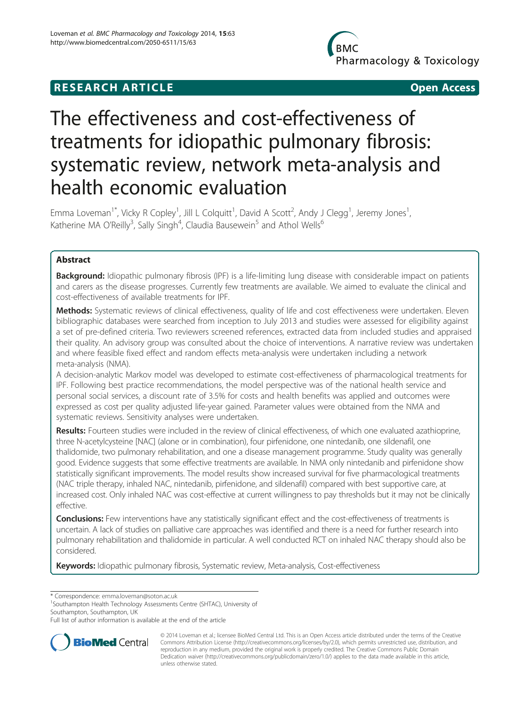## **RESEARCH ARTICLE CONSUMING A RESEARCH ARTICLE**

Pharmacology & Toxicology

# The effectiveness and cost-effectiveness of treatments for idiopathic pulmonary fibrosis: systematic review, network meta-analysis and health economic evaluation

Emma Loveman<sup>1\*</sup>, Vicky R Copley<sup>1</sup>, Jill L Colquitt<sup>1</sup>, David A Scott<sup>2</sup>, Andy J Clegg<sup>1</sup>, Jeremy Jones<sup>1</sup> , Katherine MA O'Reilly<sup>3</sup>, Sally Singh<sup>4</sup>, Claudia Bausewein<sup>5</sup> and Athol Wells<sup>6</sup>

### Abstract

Background: Idiopathic pulmonary fibrosis (IPF) is a life-limiting lung disease with considerable impact on patients and carers as the disease progresses. Currently few treatments are available. We aimed to evaluate the clinical and cost-effectiveness of available treatments for IPF.

Methods: Systematic reviews of clinical effectiveness, quality of life and cost effectiveness were undertaken. Eleven bibliographic databases were searched from inception to July 2013 and studies were assessed for eligibility against a set of pre-defined criteria. Two reviewers screened references, extracted data from included studies and appraised their quality. An advisory group was consulted about the choice of interventions. A narrative review was undertaken and where feasible fixed effect and random effects meta-analysis were undertaken including a network meta-analysis (NMA).

A decision-analytic Markov model was developed to estimate cost-effectiveness of pharmacological treatments for IPF. Following best practice recommendations, the model perspective was of the national health service and personal social services, a discount rate of 3.5% for costs and health benefits was applied and outcomes were expressed as cost per quality adjusted life-year gained. Parameter values were obtained from the NMA and systematic reviews. Sensitivity analyses were undertaken.

Results: Fourteen studies were included in the review of clinical effectiveness, of which one evaluated azathioprine, three N-acetylcysteine [NAC] (alone or in combination), four pirfenidone, one nintedanib, one sildenafil, one thalidomide, two pulmonary rehabilitation, and one a disease management programme. Study quality was generally good. Evidence suggests that some effective treatments are available. In NMA only nintedanib and pirfenidone show statistically significant improvements. The model results show increased survival for five pharmacological treatments (NAC triple therapy, inhaled NAC, nintedanib, pirfenidone, and sildenafil) compared with best supportive care, at increased cost. Only inhaled NAC was cost-effective at current willingness to pay thresholds but it may not be clinically effective.

Conclusions: Few interventions have any statistically significant effect and the cost-effectiveness of treatments is uncertain. A lack of studies on palliative care approaches was identified and there is a need for further research into pulmonary rehabilitation and thalidomide in particular. A well conducted RCT on inhaled NAC therapy should also be considered.

Keywords: Idiopathic pulmonary fibrosis, Systematic review, Meta-analysis, Cost-effectiveness

<sup>1</sup>Southampton Health Technology Assessments Centre (SHTAC), University of Southampton, Southampton, UK

Full list of author information is available at the end of the article



© 2014 Loveman et al.; licensee BioMed Central Ltd. This is an Open Access article distributed under the terms of the Creative Commons Attribution License [\(http://creativecommons.org/licenses/by/2.0\)](http://creativecommons.org/licenses/by/2.0), which permits unrestricted use, distribution, and reproduction in any medium, provided the original work is properly credited. The Creative Commons Public Domain Dedication waiver [\(http://creativecommons.org/publicdomain/zero/1.0/](http://creativecommons.org/publicdomain/zero/1.0/)) applies to the data made available in this article, unless otherwise stated.

<sup>\*</sup> Correspondence: [emma.loveman@soton.ac.uk](mailto:emma.loveman@soton.ac.uk) <sup>1</sup>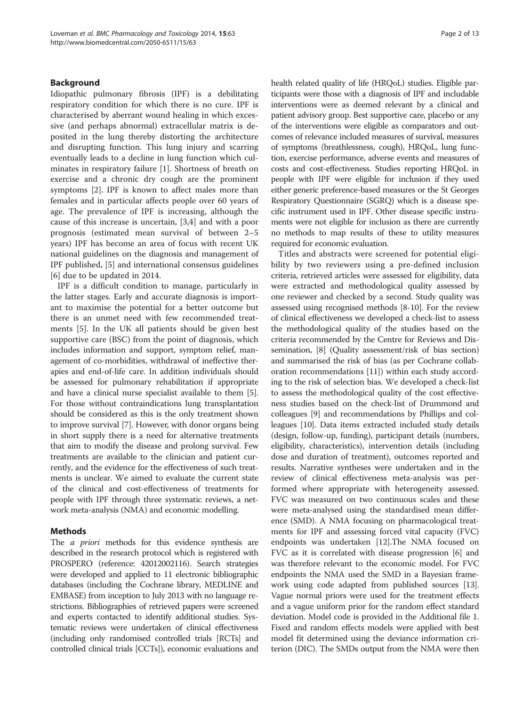#### Background

Idiopathic pulmonary fibrosis (IPF) is a debilitating respiratory condition for which there is no cure. IPF is characterised by aberrant wound healing in which excessive (and perhaps abnormal) extracellular matrix is deposited in the lung thereby distorting the architecture and disrupting function. This lung injury and scarring eventually leads to a decline in lung function which culminates in respiratory failure [[1\]](#page-11-0). Shortness of breath on exercise and a chronic dry cough are the prominent symptoms [[2\]](#page-11-0). IPF is known to affect males more than females and in particular affects people over 60 years of age. The prevalence of IPF is increasing, although the cause of this increase is uncertain, [[3](#page-11-0),[4](#page-11-0)] and with a poor prognosis (estimated mean survival of between 2–5 years) IPF has become an area of focus with recent UK national guidelines on the diagnosis and management of IPF published, [\[5](#page-11-0)] and international consensus guidelines [[6\]](#page-11-0) due to be updated in 2014.

IPF is a difficult condition to manage, particularly in the latter stages. Early and accurate diagnosis is important to maximise the potential for a better outcome but there is an unmet need with few recommended treatments [\[5](#page-11-0)]. In the UK all patients should be given best supportive care (BSC) from the point of diagnosis, which includes information and support, symptom relief, management of co-morbidities, withdrawal of ineffective therapies and end-of-life care. In addition individuals should be assessed for pulmonary rehabilitation if appropriate and have a clinical nurse specialist available to them [[5](#page-11-0)]. For those without contraindications lung transplantation should be considered as this is the only treatment shown to improve survival [[7\]](#page-11-0). However, with donor organs being in short supply there is a need for alternative treatments that aim to modify the disease and prolong survival. Few treatments are available to the clinician and patient currently, and the evidence for the effectiveness of such treatments is unclear. We aimed to evaluate the current state of the clinical and cost-effectiveness of treatments for people with IPF through three systematic reviews, a network meta-analysis (NMA) and economic modelling.

#### Methods

The *a priori* methods for this evidence synthesis are described in the research protocol which is registered with PROSPERO (reference: 42012002116). Search strategies were developed and applied to 11 electronic bibliographic databases (including the Cochrane library, MEDLINE and EMBASE) from inception to July 2013 with no language restrictions. Bibliographies of retrieved papers were screened and experts contacted to identify additional studies. Systematic reviews were undertaken of clinical effectiveness (including only randomised controlled trials [RCTs] and controlled clinical trials [CCTs]), economic evaluations and health related quality of life (HRQoL) studies. Eligible participants were those with a diagnosis of IPF and includable interventions were as deemed relevant by a clinical and patient advisory group. Best supportive care, placebo or any of the interventions were eligible as comparators and outcomes of relevance included measures of survival, measures of symptoms (breathlessness, cough), HRQoL, lung function, exercise performance, adverse events and measures of costs and cost-effectiveness. Studies reporting HRQoL in people with IPF were eligible for inclusion if they used either generic preference-based measures or the St Georges Respiratory Questionnaire (SGRQ) which is a disease specific instrument used in IPF. Other disease specific instruments were not eligible for inclusion as there are currently no methods to map results of these to utility measures required for economic evaluation.

Titles and abstracts were screened for potential eligibility by two reviewers using a pre-defined inclusion criteria, retrieved articles were assessed for eligibility, data were extracted and methodological quality assessed by one reviewer and checked by a second. Study quality was assessed using recognised methods [\[8-10\]](#page-11-0). For the review of clinical effectiveness we developed a check-list to assess the methodological quality of the studies based on the criteria recommended by the Centre for Reviews and Dissemination, [\[8](#page-11-0)] ([Quality assessment/risk of bias section](#page-2-0)) and summarised the risk of bias (as per Cochrane collaboration recommendations [\[11\]](#page-11-0)) within each study according to the risk of selection bias. We developed a check-list to assess the methodological quality of the cost effectiveness studies based on the check-list of Drummond and colleagues [\[9](#page-11-0)] and recommendations by Phillips and colleagues [[10](#page-11-0)]. Data items extracted included study details (design, follow-up, funding), participant details (numbers, eligibility, characteristics), intervention details (including dose and duration of treatment), outcomes reported and results. Narrative syntheses were undertaken and in the review of clinical effectiveness meta-analysis was performed where appropriate with heterogeneity assessed. FVC was measured on two continuous scales and these were meta-analysed using the standardised mean difference (SMD). A NMA focusing on pharmacological treatments for IPF and assessing forced vital capacity (FVC) endpoints was undertaken [[12](#page-11-0)].The NMA focused on FVC as it is correlated with disease progression [[6](#page-11-0)] and was therefore relevant to the economic model. For FVC endpoints the NMA used the SMD in a Bayesian framework using code adapted from published sources [[13](#page-12-0)]. Vague normal priors were used for the treatment effects and a vague uniform prior for the random effect standard deviation. Model code is provided in the Additional file [1](#page-11-0). Fixed and random effects models were applied with best model fit determined using the deviance information criterion (DIC). The SMDs output from the NMA were then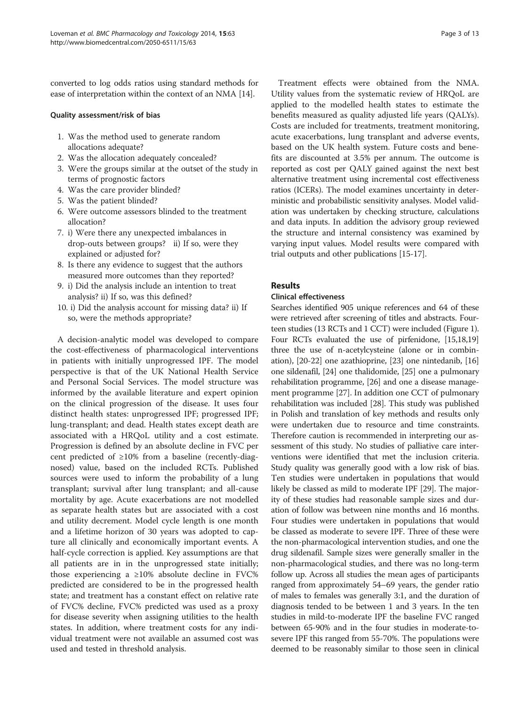<span id="page-2-0"></span>converted to log odds ratios using standard methods for ease of interpretation within the context of an NMA [[14](#page-12-0)].

#### Quality assessment/risk of bias

- 1. Was the method used to generate random allocations adequate?
- 2. Was the allocation adequately concealed?
- 3. Were the groups similar at the outset of the study in terms of prognostic factors
- 4. Was the care provider blinded?
- 5. Was the patient blinded?
- 6. Were outcome assessors blinded to the treatment allocation?
- 7. i) Were there any unexpected imbalances in drop-outs between groups? ii) If so, were they explained or adjusted for?
- 8. Is there any evidence to suggest that the authors measured more outcomes than they reported?
- 9. i) Did the analysis include an intention to treat analysis? ii) If so, was this defined?
- 10. i) Did the analysis account for missing data? ii) If so, were the methods appropriate?

A decision-analytic model was developed to compare the cost-effectiveness of pharmacological interventions in patients with initially unprogressed IPF. The model perspective is that of the UK National Health Service and Personal Social Services. The model structure was informed by the available literature and expert opinion on the clinical progression of the disease. It uses four distinct health states: unprogressed IPF; progressed IPF; lung-transplant; and dead. Health states except death are associated with a HRQoL utility and a cost estimate. Progression is defined by an absolute decline in FVC per cent predicted of ≥10% from a baseline (recently-diagnosed) value, based on the included RCTs. Published sources were used to inform the probability of a lung transplant; survival after lung transplant; and all-cause mortality by age. Acute exacerbations are not modelled as separate health states but are associated with a cost and utility decrement. Model cycle length is one month and a lifetime horizon of 30 years was adopted to capture all clinically and economically important events. A half-cycle correction is applied. Key assumptions are that all patients are in in the unprogressed state initially; those experiencing a ≥10% absolute decline in FVC% predicted are considered to be in the progressed health state; and treatment has a constant effect on relative rate of FVC% decline, FVC% predicted was used as a proxy for disease severity when assigning utilities to the health states. In addition, where treatment costs for any individual treatment were not available an assumed cost was used and tested in threshold analysis.

Treatment effects were obtained from the NMA. Utility values from the systematic review of HRQoL are applied to the modelled health states to estimate the benefits measured as quality adjusted life years (QALYs). Costs are included for treatments, treatment monitoring, acute exacerbations, lung transplant and adverse events, based on the UK health system. Future costs and benefits are discounted at 3.5% per annum. The outcome is reported as cost per QALY gained against the next best alternative treatment using incremental cost effectiveness ratios (ICERs). The model examines uncertainty in deterministic and probabilistic sensitivity analyses. Model validation was undertaken by checking structure, calculations and data inputs. In addition the advisory group reviewed the structure and internal consistency was examined by varying input values. Model results were compared with trial outputs and other publications [[15](#page-12-0)-[17](#page-12-0)].

### Results

#### Clinical effectiveness

Searches identified 905 unique references and 64 of these were retrieved after screening of titles and abstracts. Fourteen studies (13 RCTs and 1 CCT) were included (Figure [1](#page-3-0)). Four RCTs evaluated the use of pirfenidone, [[15,18,19](#page-12-0)] three the use of n-acetylcysteine (alone or in combination), [\[20-22](#page-12-0)] one azathioprine, [\[23\]](#page-12-0) one nintedanib, [[16](#page-12-0)] one sildenafil, [[24](#page-12-0)] one thalidomide, [[25](#page-12-0)] one a pulmonary rehabilitation programme, [\[26\]](#page-12-0) and one a disease management programme [[27](#page-12-0)]. In addition one CCT of pulmonary rehabilitation was included [\[28\]](#page-12-0). This study was published in Polish and translation of key methods and results only were undertaken due to resource and time constraints. Therefore caution is recommended in interpreting our assessment of this study. No studies of palliative care interventions were identified that met the inclusion criteria. Study quality was generally good with a low risk of bias. Ten studies were undertaken in populations that would likely be classed as mild to moderate IPF [\[29\]](#page-12-0). The majority of these studies had reasonable sample sizes and duration of follow was between nine months and 16 months. Four studies were undertaken in populations that would be classed as moderate to severe IPF. Three of these were the non-pharmacological intervention studies, and one the drug sildenafil. Sample sizes were generally smaller in the non-pharmacological studies, and there was no long-term follow up. Across all studies the mean ages of participants ranged from approximately 54–69 years, the gender ratio of males to females was generally 3:1, and the duration of diagnosis tended to be between 1 and 3 years. In the ten studies in mild-to-moderate IPF the baseline FVC ranged between 65-90% and in the four studies in moderate-tosevere IPF this ranged from 55-70%. The populations were deemed to be reasonably similar to those seen in clinical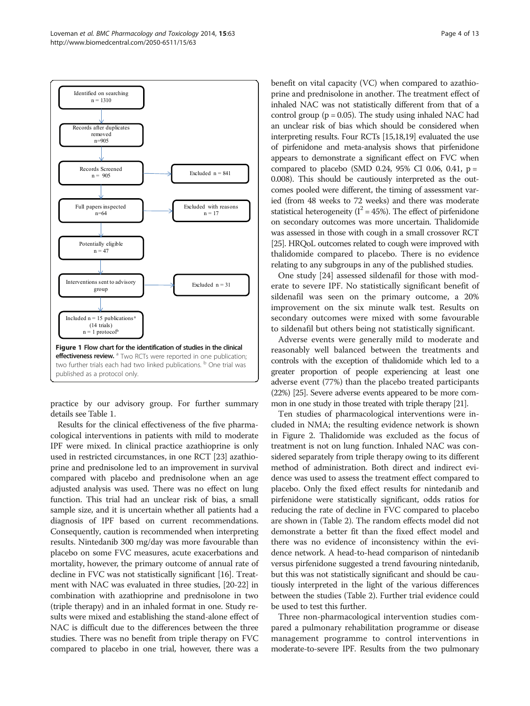<span id="page-3-0"></span>

practice by our advisory group. For further summary details see Table [1](#page-4-0).

Results for the clinical effectiveness of the five pharmacological interventions in patients with mild to moderate IPF were mixed. In clinical practice azathioprine is only used in restricted circumstances, in one RCT [[23\]](#page-12-0) azathioprine and prednisolone led to an improvement in survival compared with placebo and prednisolone when an age adjusted analysis was used. There was no effect on lung function. This trial had an unclear risk of bias, a small sample size, and it is uncertain whether all patients had a diagnosis of IPF based on current recommendations. Consequently, caution is recommended when interpreting results. Nintedanib 300 mg/day was more favourable than placebo on some FVC measures, acute exacerbations and mortality, however, the primary outcome of annual rate of decline in FVC was not statistically significant [[16](#page-12-0)]. Treatment with NAC was evaluated in three studies, [[20](#page-12-0)-[22](#page-12-0)] in combination with azathioprine and prednisolone in two (triple therapy) and in an inhaled format in one. Study results were mixed and establishing the stand-alone effect of NAC is difficult due to the differences between the three studies. There was no benefit from triple therapy on FVC compared to placebo in one trial, however, there was a

benefit on vital capacity (VC) when compared to azathioprine and prednisolone in another. The treatment effect of inhaled NAC was not statistically different from that of a control group ( $p = 0.05$ ). The study using inhaled NAC had an unclear risk of bias which should be considered when interpreting results. Four RCTs [[15,18,19\]](#page-12-0) evaluated the use of pirfenidone and meta-analysis shows that pirfenidone appears to demonstrate a significant effect on FVC when compared to placebo (SMD 0.24, 95% CI 0.06, 0.41,  $p =$ 0.008). This should be cautiously interpreted as the outcomes pooled were different, the timing of assessment varied (from 48 weeks to 72 weeks) and there was moderate statistical heterogeneity ( $I^2 = 45\%$ ). The effect of pirfenidone on secondary outcomes was more uncertain. Thalidomide was assessed in those with cough in a small crossover RCT [[25\]](#page-12-0). HRQoL outcomes related to cough were improved with thalidomide compared to placebo. There is no evidence relating to any subgroups in any of the published studies.

One study [[24\]](#page-12-0) assessed sildenafil for those with moderate to severe IPF. No statistically significant benefit of sildenafil was seen on the primary outcome, a 20% improvement on the six minute walk test. Results on secondary outcomes were mixed with some favourable to sildenafil but others being not statistically significant.

Adverse events were generally mild to moderate and reasonably well balanced between the treatments and controls with the exception of thalidomide which led to a greater proportion of people experiencing at least one adverse event (77%) than the placebo treated participants (22%) [\[25](#page-12-0)]. Severe adverse events appeared to be more common in one study in those treated with triple therapy [[21\]](#page-12-0).

Ten studies of pharmacological interventions were included in NMA; the resulting evidence network is shown in Figure [2](#page-8-0). Thalidomide was excluded as the focus of treatment is not on lung function. Inhaled NAC was considered separately from triple therapy owing to its different method of administration. Both direct and indirect evidence was used to assess the treatment effect compared to placebo. Only the fixed effect results for nintedanib and pirfenidone were statistically significant, odds ratios for reducing the rate of decline in FVC compared to placebo are shown in (Table [2](#page-8-0)). The random effects model did not demonstrate a better fit than the fixed effect model and there was no evidence of inconsistency within the evidence network. A head-to-head comparison of nintedanib versus pirfenidone suggested a trend favouring nintedanib, but this was not statistically significant and should be cautiously interpreted in the light of the various differences between the studies (Table [2](#page-8-0)). Further trial evidence could be used to test this further.

Three non-pharmacological intervention studies compared a pulmonary rehabilitation programme or disease management programme to control interventions in moderate-to-severe IPF. Results from the two pulmonary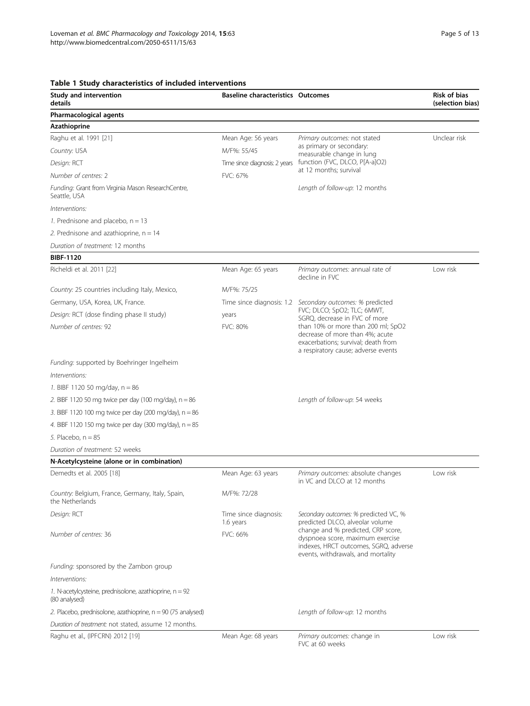#### <span id="page-4-0"></span>Table 1 Study characteristics of included interventions

| Study and intervention<br>details                                        | <b>Baseline characteristics Outcomes</b> |                                                                                                                                                       | <b>Risk of bias</b><br>(selection bias) |
|--------------------------------------------------------------------------|------------------------------------------|-------------------------------------------------------------------------------------------------------------------------------------------------------|-----------------------------------------|
| Pharmacological agents                                                   |                                          |                                                                                                                                                       |                                         |
| Azathioprine                                                             |                                          |                                                                                                                                                       |                                         |
| Raghu et al. 1991 [21]                                                   | Mean Age: 56 years                       | Primary outcomes: not stated                                                                                                                          | Unclear risk                            |
| Country: USA                                                             | M/F%: 55/45                              | as primary or secondary:<br>measurable change in lung                                                                                                 |                                         |
| Design: RCT                                                              | Time since diagnosis: 2 years            | function (FVC, DLCO, P[A-a]O2)                                                                                                                        |                                         |
| Number of centres: 2                                                     | FVC: 67%                                 | at 12 months; survival                                                                                                                                |                                         |
| Funding: Grant from Virginia Mason ResearchCentre,<br>Seattle, USA       |                                          | Length of follow-up: 12 months                                                                                                                        |                                         |
| Interventions:                                                           |                                          |                                                                                                                                                       |                                         |
| 1. Prednisone and placebo, $n = 13$                                      |                                          |                                                                                                                                                       |                                         |
| 2. Prednisone and azathioprine, $n = 14$                                 |                                          |                                                                                                                                                       |                                         |
| Duration of treatment: 12 months                                         |                                          |                                                                                                                                                       |                                         |
| <b>BIBF-1120</b>                                                         |                                          |                                                                                                                                                       |                                         |
| Richeldi et al. 2011 [22]                                                | Mean Age: 65 years                       | Primary outcomes: annual rate of<br>decline in FVC                                                                                                    | Low risk                                |
| Country: 25 countries including Italy, Mexico,                           | M/F%: 75/25                              |                                                                                                                                                       |                                         |
| Germany, USA, Korea, UK, France.                                         |                                          | Time since diagnosis: 1.2 Secondary outcomes: % predicted                                                                                             |                                         |
| Design: RCT (dose finding phase II study)                                | years                                    | FVC; DLCO; SpO2; TLC; 6MWT,<br>SGRQ, decrease in FVC of more                                                                                          |                                         |
| Number of centres: 92                                                    | <b>FVC: 80%</b>                          | than 10% or more than 200 ml; SpO2<br>decrease of more than 4%; acute<br>exacerbations; survival; death from<br>a respiratory cause; adverse events   |                                         |
| Funding: supported by Boehringer Ingelheim                               |                                          |                                                                                                                                                       |                                         |
| Interventions:                                                           |                                          |                                                                                                                                                       |                                         |
| 1. BIBF 1120 50 mg/day, n = 86                                           |                                          |                                                                                                                                                       |                                         |
| 2. BIBF 1120 50 mg twice per day (100 mg/day), n = 86                    |                                          | Length of follow-up: 54 weeks                                                                                                                         |                                         |
| 3. BIBF 1120 100 mg twice per day (200 mg/day), n = 86                   |                                          |                                                                                                                                                       |                                         |
| 4. BIBF 1120 150 mg twice per day (300 mg/day), n = 85                   |                                          |                                                                                                                                                       |                                         |
| 5. Placebo, $n = 85$                                                     |                                          |                                                                                                                                                       |                                         |
| Duration of treatment: 52 weeks                                          |                                          |                                                                                                                                                       |                                         |
| N-Acetylcysteine (alone or in combination)                               |                                          |                                                                                                                                                       |                                         |
| Demedts et al. 2005 [18]                                                 | Mean Age: 63 years                       | Primary outcomes: absolute changes<br>in VC and DLCO at 12 months                                                                                     | Low risk                                |
| Country: Belgium, France, Germany, Italy, Spain,<br>the Netherlands      | M/F%: 72/28                              |                                                                                                                                                       |                                         |
| Design: RCT                                                              | Time since diagnosis:<br>1.6 years       | Secondary outcomes: % predicted VC, %<br>predicted DLCO, alveolar volume                                                                              |                                         |
| Number of centres: 36                                                    | FVC: 66%                                 | change and % predicted, CRP score,<br>dyspnoea score, maximum exercise<br>indexes, HRCT outcomes, SGRQ, adverse<br>events, withdrawals, and mortality |                                         |
| Funding: sponsored by the Zambon group                                   |                                          |                                                                                                                                                       |                                         |
| Interventions:                                                           |                                          |                                                                                                                                                       |                                         |
| 1. N-acetylcysteine, prednisolone, azathioprine, n = 92<br>(80 analysed) |                                          |                                                                                                                                                       |                                         |
| 2. Placebo, prednisolone, azathioprine, $n = 90$ (75 analysed)           |                                          | Length of follow-up: 12 months                                                                                                                        |                                         |
| Duration of treatment: not stated, assume 12 months.                     |                                          |                                                                                                                                                       |                                         |
| Raghu et al., (IPFCRN) 2012 [19]                                         | Mean Age: 68 years                       | Primary outcomes: change in<br>FVC at 60 weeks                                                                                                        | Low risk                                |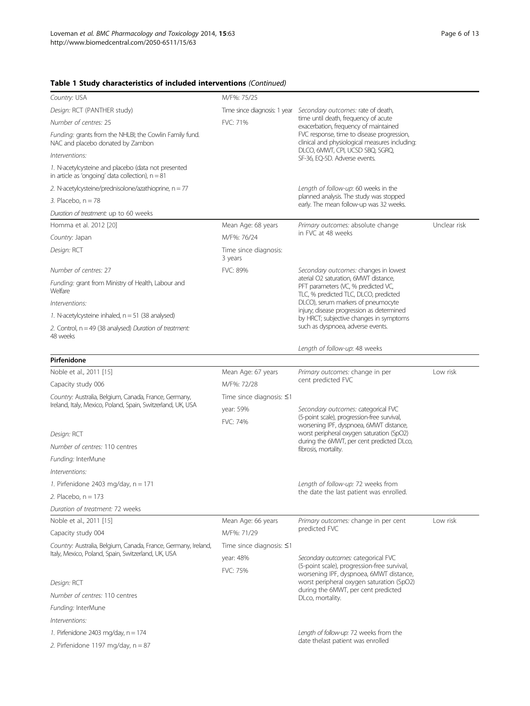### Table 1 Study characteristics of included interventions (Continued)

| Country: USA                                                                                                         | M/F%: 75/25                      |                                                                                                                               |              |  |
|----------------------------------------------------------------------------------------------------------------------|----------------------------------|-------------------------------------------------------------------------------------------------------------------------------|--------------|--|
| Design: RCT (PANTHER study)                                                                                          | Time since diagnosis: 1 year     |                                                                                                                               |              |  |
| Number of centres: 25                                                                                                | FVC: 71%                         | time until death, frequency of acute<br>exacerbation, frequency of maintained                                                 |              |  |
| Funding: grants from the NHLBI; the Cowlin Family fund.<br>NAC and placebo donated by Zambon                         |                                  | FVC response, time to disease progression,<br>clinical and physiological measures including:                                  |              |  |
| Interventions:                                                                                                       |                                  | DLCO, 6MWT, CPI, UCSD SBQ, SGRQ,<br>SF-36, EQ-5D. Adverse events.                                                             |              |  |
| 1. N-acetylcysteine and placebo (data not presented<br>in article as 'ongoing' data collection), $n = 81$            |                                  |                                                                                                                               |              |  |
| 2. N-acetylcysteine/prednisolone/azathioprine, n = 77                                                                |                                  | Length of follow-up: 60 weeks in the                                                                                          |              |  |
| 3. Placebo, $n = 78$                                                                                                 |                                  | planned analysis. The study was stopped<br>early. The mean follow-up was 32 weeks.                                            |              |  |
| Duration of treatment: up to 60 weeks                                                                                |                                  |                                                                                                                               |              |  |
| Homma et al. 2012 [20]                                                                                               | Mean Age: 68 years               | Primary outcomes: absolute change                                                                                             | Unclear risk |  |
| Country: Japan                                                                                                       | M/F%: 76/24                      | in FVC at 48 weeks                                                                                                            |              |  |
| Design: RCT                                                                                                          | Time since diagnosis:<br>3 years |                                                                                                                               |              |  |
| Number of centres: 27                                                                                                | FVC: 89%                         | Secondary outcomes: changes in lowest                                                                                         |              |  |
| Funding: grant from Ministry of Health, Labour and<br>Welfare                                                        |                                  | aterial O2 saturation, 6MWT distance,<br>PFT parameters (VC, % predicted VC,<br>TLC, % predicted TLC, DLCO, predicted         |              |  |
| Interventions:                                                                                                       |                                  | DLCO), serum markers of pneumocyte                                                                                            |              |  |
| 1. N-acetylcysteine inhaled, $n = 51$ (38 analysed)                                                                  |                                  | injury; disease progression as determined<br>by HRCT; subjective changes in symptoms                                          |              |  |
| 2. Control, n = 49 (38 analysed) Duration of treatment:<br>48 weeks                                                  |                                  | such as dyspnoea, adverse events.                                                                                             |              |  |
|                                                                                                                      |                                  | Length of follow-up: 48 weeks                                                                                                 |              |  |
| Pirfenidone                                                                                                          |                                  |                                                                                                                               |              |  |
| Noble et al., 2011 [15]                                                                                              | Mean Age: 67 years               | Primary outcomes: change in per<br>cent predicted FVC                                                                         | Low risk     |  |
| Capacity study 006                                                                                                   | M/F%: 72/28                      |                                                                                                                               |              |  |
| Country: Australia, Belgium, Canada, France, Germany,<br>Ireland, Italy, Mexico, Poland, Spain, Switzerland, UK, USA | Time since diagnosis: $\leq$ 1   |                                                                                                                               |              |  |
|                                                                                                                      | year: 59%<br>FVC: 74%            | Secondary outcomes: categorical FVC<br>(5-point scale), progression-free survival,<br>worsening IPF, dyspnoea, 6MWT distance, |              |  |
| Design: RCT                                                                                                          |                                  | worst peripheral oxygen saturation (SpO2)                                                                                     |              |  |
| Number of centres: 110 centres                                                                                       |                                  | during the 6MWT, per cent predicted DLco,<br>fibrosis, mortality.                                                             |              |  |
| Funding: InterMune                                                                                                   |                                  |                                                                                                                               |              |  |
| Interventions:                                                                                                       |                                  |                                                                                                                               |              |  |
| 1. Pirfenidone 2403 mg/day, $n = 171$                                                                                |                                  | Length of follow-up: 72 weeks from                                                                                            |              |  |
| 2. Placebo, $n = 173$                                                                                                |                                  | the date the last patient was enrolled.                                                                                       |              |  |
| Duration of treatment: 72 weeks                                                                                      |                                  |                                                                                                                               |              |  |
| Noble et al., 2011 [15]                                                                                              | Mean Age: 66 years               | Primary outcomes: change in per cent                                                                                          | Low risk     |  |
| Capacity study 004                                                                                                   | M/F%: 71/29                      | predicted FVC                                                                                                                 |              |  |
| Country: Australia, Belgium, Canada, France, Germany, Ireland,                                                       | Time since diagnosis: $\leq$ 1   |                                                                                                                               |              |  |
| Italy, Mexico, Poland, Spain, Switzerland, UK, USA                                                                   | year: 48%                        | Secondary outcomes: categorical FVC                                                                                           |              |  |
|                                                                                                                      | FVC: 75%                         | (5-point scale), progression-free survival,<br>worsening IPF, dyspnoea, 6MWT distance,                                        |              |  |
| Design: RCT                                                                                                          |                                  | worst peripheral oxygen saturation (SpO2)                                                                                     |              |  |
| Number of centres: 110 centres                                                                                       |                                  | during the 6MWT, per cent predicted<br>DLco, mortality.                                                                       |              |  |
| Funding: InterMune                                                                                                   |                                  |                                                                                                                               |              |  |
| Interventions:                                                                                                       |                                  |                                                                                                                               |              |  |
| 1. Pirfenidone 2403 mg/day, $n = 174$                                                                                |                                  | Length of follow-up: 72 weeks from the                                                                                        |              |  |
| 2. Pirfenidone 1197 mg/day, $n = 87$                                                                                 |                                  | date thelast patient was enrolled                                                                                             |              |  |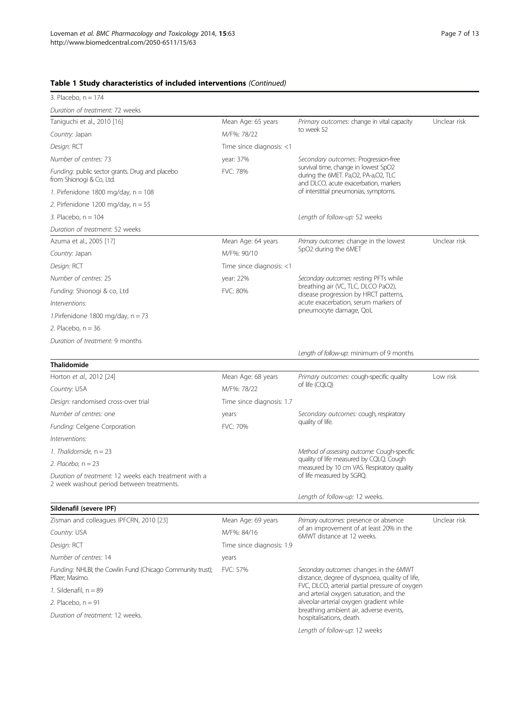### Table 1 Study characteristics of included interventions (Continued)

| 3. Placebo, $n = 174$                                                         |                               |                                                                                                                         |              |
|-------------------------------------------------------------------------------|-------------------------------|-------------------------------------------------------------------------------------------------------------------------|--------------|
| Duration of treatment: 72 weeks                                               |                               |                                                                                                                         |              |
| Taniquchi et al., 2010 [16]<br>Mean Age: 65 years                             |                               | Primary outcomes: change in vital capacity                                                                              | Unclear risk |
| Country: Japan                                                                | M/F%: 78/22                   | to week 52                                                                                                              |              |
| Design: RCT                                                                   | Time since diagnosis: <1      |                                                                                                                         |              |
| Number of centres: 73                                                         | year: 37%                     | Secondary outcomes: Progression-free                                                                                    |              |
| Funding: public sector grants. Drug and placebo<br>from Shionogi & Co, Ltd.   | FVC: 78%                      | survival time, change in lowest SpO2<br>during the 6MET. Pa, O2, PA-a, O2, TLC<br>and DLCO, acute exacerbation, markers |              |
| 1. Pirfenidone 1800 mg/day, $n = 108$                                         |                               | of interstitial pneumonias, symptoms.                                                                                   |              |
| 2. Pirfenidone 1200 mg/day, $n = 55$                                          |                               |                                                                                                                         |              |
| 3. Placebo, $n = 104$                                                         |                               | Length of follow-up: 52 weeks                                                                                           |              |
| Duration of treatment: 52 weeks                                               |                               |                                                                                                                         |              |
| Azuma et al., 2005 [17]                                                       | Mean Age: 64 years            | Primary outcomes: change in the lowest                                                                                  | Unclear risk |
| Country: Japan                                                                | M/F%: 90/10                   | SpO2 during the 6MET                                                                                                    |              |
| Design: RCT                                                                   | Time since diagnosis: <1      |                                                                                                                         |              |
| Number of centres: 25                                                         | year: 22%                     | Secondary outcomes: resting PFTs while                                                                                  |              |
| Funding: Shionogi & co, Ltd                                                   | FVC: 80%                      | breathing air (VC, TLC, DLCO PaO2),<br>disease progression by HRCT patterns,                                            |              |
| Interventions:                                                                |                               | acute exacerbation, serum markers of                                                                                    |              |
| 1. Pirfenidone 1800 mg/day, $n = 73$                                          |                               | pneumocyte damage, QoL                                                                                                  |              |
| 2. Placebo, $n = 36$                                                          |                               |                                                                                                                         |              |
| Duration of treatment: 9 months                                               |                               |                                                                                                                         |              |
|                                                                               |                               | Length of follow-up: minimum of 9 months                                                                                |              |
| <b>Thalidomide</b>                                                            |                               |                                                                                                                         |              |
| Horton et al., 2012 [24]                                                      | Mean Age: 68 years            | Primary outcomes: cough-specific quality                                                                                | Low risk     |
| Country: USA                                                                  | of life (CQLQ)<br>M/F%: 78/22 |                                                                                                                         |              |
| Design: randomised cross-over trial                                           | Time since diagnosis: 1.7     |                                                                                                                         |              |
| Number of centres: one<br>years                                               |                               | Secondary outcomes: cough, respiratory                                                                                  |              |
| Funding: Celgene Corporation                                                  | FVC: 70%                      | quality of life.                                                                                                        |              |
| Interventions:                                                                |                               |                                                                                                                         |              |
| 1. Thalidomide, $n = 23$                                                      |                               | Method of assessing outcome: Cough-specific                                                                             |              |
| 2. Placebo, $n = 23$                                                          |                               | quality of life measured by CQLQ. Cough<br>measured by 10 cm VAS. Respiratory quality                                   |              |
| Duration of treatment: 12 weeks each treatment with a                         |                               | of life measured by SGRQ.                                                                                               |              |
| 2 week washout period between treatments.                                     |                               |                                                                                                                         |              |
|                                                                               |                               | Length of follow-up: 12 weeks.                                                                                          |              |
| Sildenafil (severe IPF)                                                       |                               |                                                                                                                         |              |
| Zisman and colleagues IPFCRN, 2010 [23]                                       | Mean Age: 69 years            | Primary outcomes: presence or absence<br>of an improvement of at least 20% in the                                       | Unclear risk |
| Country: USA                                                                  | M/F%: 84/16                   | 6MWT distance at 12 weeks.                                                                                              |              |
| Design: RCT                                                                   | Time since diagnosis: 1.9     |                                                                                                                         |              |
| Number of centres: 14                                                         | years                         |                                                                                                                         |              |
| Funding: NHLBI; the Cowlin Fund (Chicago Community trust);<br>Pfizer; Masimo. | FVC: 57%                      | Secondary outcomes: changes in the 6MWT<br>distance, degree of dyspnoea, quality of life,                               |              |
| 1. Sildenafil. $n = 89$                                                       |                               | FVC, DLCO, arterial partial pressure of oxygen<br>and arterial oxygen saturation, and the                               |              |
| 2. Placebo, $n = 91$                                                          |                               | alveolar-arterial oxygen gradient while<br>breathing ambient air, adverse events,                                       |              |
| Duration of treatment: 12 weeks.                                              |                               | hospitalisations, death.                                                                                                |              |
|                                                                               |                               | Length of follow-up: 12 weeks                                                                                           |              |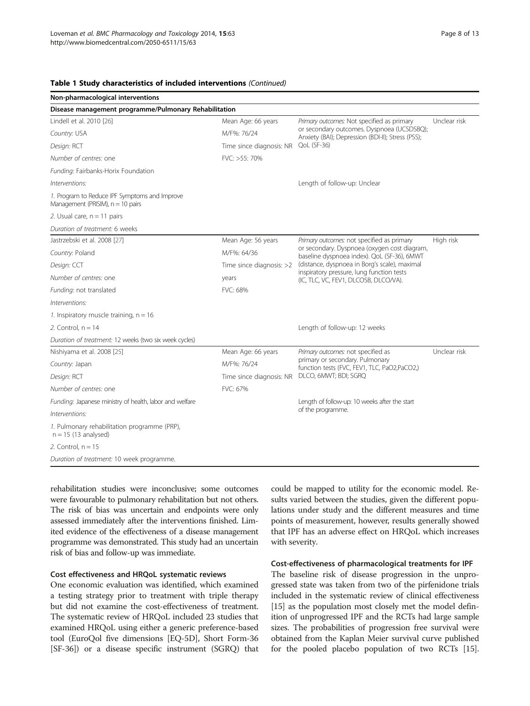|  | Table 1 Study characteristics of included interventions (Continued) |  |  |  |
|--|---------------------------------------------------------------------|--|--|--|
|--|---------------------------------------------------------------------|--|--|--|

| Non-pharmacological interventions                                                    |                          |                                                                                                 |              |
|--------------------------------------------------------------------------------------|--------------------------|-------------------------------------------------------------------------------------------------|--------------|
| Disease management programme/Pulmonary Rehabilitation                                |                          |                                                                                                 |              |
| Lindell et al. 2010 [26]                                                             | Mean Age: 66 years       | Primary outcomes: Not specified as primary                                                      | Unclear risk |
| Country: USA                                                                         | M/F%: 76/24              | or secondary outcomes. Dyspnoea (UCSDSBQ);<br>Anxiety (BAI); Depression (BDI-II); Stress (PSS); |              |
| Design: RCT                                                                          | Time since diagnosis: NR | QoL (SF-36)                                                                                     |              |
| Number of centres: one                                                               | FVC: >55: 70%            |                                                                                                 |              |
| Funding: Fairbanks-Horix Foundation                                                  |                          |                                                                                                 |              |
| Interventions:                                                                       |                          | Length of follow-up: Unclear                                                                    |              |
| 1. Program to Reduce IPF Symptoms and Improve<br>Management (PRISIM), $n = 10$ pairs |                          |                                                                                                 |              |
| 2. Usual care, $n = 11$ pairs                                                        |                          |                                                                                                 |              |
| Duration of treatment: 6 weeks                                                       |                          |                                                                                                 |              |
| Jastrzebski et al. 2008 [27]                                                         | Mean Age: 56 years       | Primary outcomes: not specified as primary                                                      | High risk    |
| Country: Poland                                                                      | M/F%: 64/36              | or secondary. Dyspnoea (oxygen cost diagram,<br>baseline dyspnoea index). QoL (SF-36), 6MWT     |              |
| Design: CCT                                                                          | Time since diagnosis: >2 | (distance, dyspnoea in Borg's scale), maximal                                                   |              |
| Number of centres: one                                                               | years                    | inspiratory pressure, lung function tests<br>(IC, TLC, VC, FEV1, DLCOSB, DLCO/VA).              |              |
| Funding: not translated                                                              | FVC: 68%                 |                                                                                                 |              |
| Interventions:                                                                       |                          |                                                                                                 |              |
| 1. Inspiratory muscle training, $n = 16$                                             |                          |                                                                                                 |              |
| 2. Control, $n = 14$                                                                 |                          | Length of follow-up: 12 weeks                                                                   |              |
| Duration of treatment: 12 weeks (two six week cycles)                                |                          |                                                                                                 |              |
| Nishiyama et al. 2008 [25]                                                           | Mean Age: 66 years       | Primary outcomes: not specified as                                                              | Unclear risk |
| Country: Japan                                                                       | M/F%: 76/24              | primary or secondary. Pulmonary<br>function tests (FVC, FEV1, TLC, PaO2,PaCO2,)                 |              |
| Design: RCT                                                                          | Time since diagnosis: NR | DLCO, 6MWT; BDI; SGRQ                                                                           |              |
| Number of centres: one                                                               | FVC: 67%                 |                                                                                                 |              |
| Funding: Japanese ministry of health, labor and welfare                              |                          | Length of follow-up: 10 weeks after the start                                                   |              |
| Interventions:                                                                       |                          | of the programme.                                                                               |              |
| 1. Pulmonary rehabilitation programme (PRP),<br>$n = 15$ (13 analysed)               |                          |                                                                                                 |              |
| 2. Control, $n = 15$                                                                 |                          |                                                                                                 |              |
| Duration of treatment: 10 week programme.                                            |                          |                                                                                                 |              |

rehabilitation studies were inconclusive; some outcomes were favourable to pulmonary rehabilitation but not others. The risk of bias was uncertain and endpoints were only assessed immediately after the interventions finished. Limited evidence of the effectiveness of a disease management programme was demonstrated. This study had an uncertain risk of bias and follow-up was immediate.

#### Cost effectiveness and HRQoL systematic reviews

One economic evaluation was identified, which examined a testing strategy prior to treatment with triple therapy but did not examine the cost-effectiveness of treatment. The systematic review of HRQoL included 23 studies that examined HRQoL using either a generic preference-based tool (EuroQol five dimensions [EQ-5D], Short Form-36 [SF-36]) or a disease specific instrument (SGRQ) that

could be mapped to utility for the economic model. Results varied between the studies, given the different populations under study and the different measures and time points of measurement, however, results generally showed that IPF has an adverse effect on HRQoL which increases with severity.

#### Cost-effectiveness of pharmacological treatments for IPF

The baseline risk of disease progression in the unprogressed state was taken from two of the pirfenidone trials included in the systematic review of clinical effectiveness [[15](#page-12-0)] as the population most closely met the model definition of unprogressed IPF and the RCTs had large sample sizes. The probabilities of progression free survival were obtained from the Kaplan Meier survival curve published for the pooled placebo population of two RCTs [[15](#page-12-0)].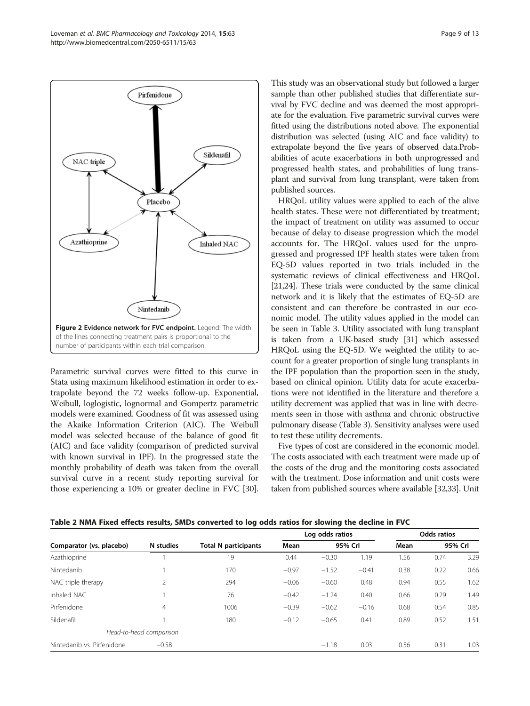<span id="page-8-0"></span>

Parametric survival curves were fitted to this curve in Stata using maximum likelihood estimation in order to extrapolate beyond the 72 weeks follow-up. Exponential, Weibull, loglogistic, lognormal and Gompertz parametric models were examined. Goodness of fit was assessed using the Akaike Information Criterion (AIC). The Weibull model was selected because of the balance of good fit (AIC) and face validity (comparison of predicted survival with known survival in IPF). In the progressed state the monthly probability of death was taken from the overall survival curve in a recent study reporting survival for those experiencing a 10% or greater decline in FVC [[30](#page-12-0)].

This study was an observational study but followed a larger sample than other published studies that differentiate survival by FVC decline and was deemed the most appropriate for the evaluation. Five parametric survival curves were fitted using the distributions noted above. The exponential distribution was selected (using AIC and face validity) to extrapolate beyond the five years of observed data.Probabilities of acute exacerbations in both unprogressed and progressed health states, and probabilities of lung transplant and survival from lung transplant, were taken from published sources.

HRQoL utility values were applied to each of the alive health states. These were not differentiated by treatment; the impact of treatment on utility was assumed to occur because of delay to disease progression which the model accounts for. The HRQoL values used for the unprogressed and progressed IPF health states were taken from EQ-5D values reported in two trials included in the systematic reviews of clinical effectiveness and HRQoL [[21,24](#page-12-0)]. These trials were conducted by the same clinical network and it is likely that the estimates of EQ-5D are consistent and can therefore be contrasted in our economic model. The utility values applied in the model can be seen in Table [3](#page-9-0). Utility associated with lung transplant is taken from a UK-based study [[31](#page-12-0)] which assessed HRQoL using the EQ-5D. We weighted the utility to account for a greater proportion of single lung transplants in the IPF population than the proportion seen in the study, based on clinical opinion. Utility data for acute exacerbations were not identified in the literature and therefore a utility decrement was applied that was in line with decrements seen in those with asthma and chronic obstructive pulmonary disease (Table [3](#page-9-0)). Sensitivity analyses were used to test these utility decrements.

Five types of cost are considered in the economic model. The costs associated with each treatment were made up of the costs of the drug and the monitoring costs associated with the treatment. Dose information and unit costs were taken from published sources where available [\[32,33\]](#page-12-0). Unit

|                            |                         |                             | Log odds ratios |         |         | Odds ratios |      |         |
|----------------------------|-------------------------|-----------------------------|-----------------|---------|---------|-------------|------|---------|
| Comparator (vs. placebo)   | N studies               | <b>Total N participants</b> | Mean            |         | 95% Crl | Mean        |      | 95% Crl |
| Azathioprine               |                         | 19                          | 0.44            | $-0.30$ | 1.19    | 1.56        | 0.74 | 3.29    |
| Nintedanib                 |                         | 170                         | $-0.97$         | $-1.52$ | $-0.41$ | 0.38        | 0.22 | 0.66    |
| NAC triple therapy         | 2                       | 294                         | $-0.06$         | $-0.60$ | 0.48    | 0.94        | 0.55 | 1.62    |
| Inhaled NAC                |                         | 76                          | $-0.42$         | $-1.24$ | 0.40    | 0.66        | 0.29 | 1.49    |
| Pirfenidone                | 4                       | 1006                        | $-0.39$         | $-0.62$ | $-0.16$ | 0.68        | 0.54 | 0.85    |
| Sildenafil                 |                         | 180                         | $-0.12$         | $-0.65$ | 0.41    | 0.89        | 0.52 | 1.51    |
|                            | Head-to-head comparison |                             |                 |         |         |             |      |         |
| Nintedanib vs. Pirfenidone | $-0.58$                 |                             |                 | $-1.18$ | 0.03    | 0.56        | 0.31 | 1.03    |

Table 2 NMA Fixed effects results, SMDs converted to log odds ratios for slowing the decline in FVC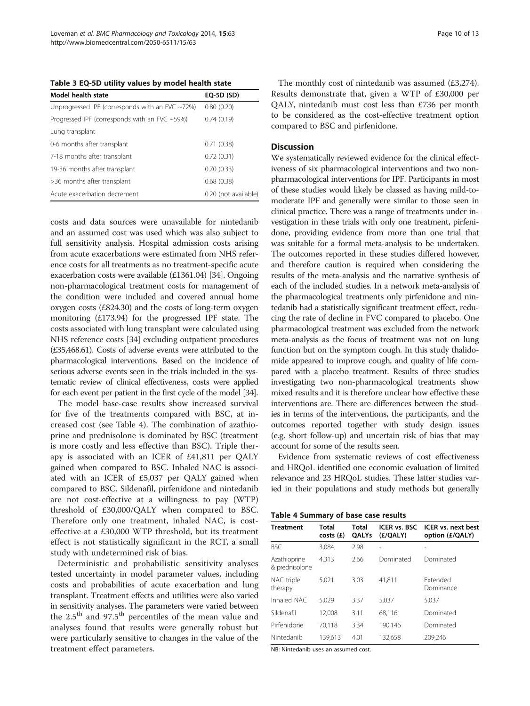<span id="page-9-0"></span>Table 3 EQ-5D utility values by model health state

| Model health state                                    | EQ-5D (SD)           |
|-------------------------------------------------------|----------------------|
| Unprogressed IPF (corresponds with an FVC $\sim$ 72%) | 0.80(0.20)           |
| Progressed IPF (corresponds with an FVC $\sim$ 59%)   | 0.74(0.19)           |
| Lung transplant                                       |                      |
| 0-6 months after transplant                           | 0.71(0.38)           |
| 7-18 months after transplant                          | 0.72(0.31)           |
| 19-36 months after transplant                         | 0.70(0.33)           |
| >36 months after transplant                           | 0.68(0.38)           |
| Acute exacerbation decrement                          | 0.20 (not available) |

costs and data sources were unavailable for nintedanib and an assumed cost was used which was also subject to full sensitivity analysis. Hospital admission costs arising from acute exacerbations were estimated from NHS reference costs for all treatments as no treatment-specific acute exacerbation costs were available (£1361.04) [\[34\]](#page-12-0). Ongoing non-pharmacological treatment costs for management of the condition were included and covered annual home oxygen costs (£824.30) and the costs of long-term oxygen monitoring (£173.94) for the progressed IPF state. The costs associated with lung transplant were calculated using NHS reference costs [\[34\]](#page-12-0) excluding outpatient procedures (£35,468.61). Costs of adverse events were attributed to the pharmacological interventions. Based on the incidence of serious adverse events seen in the trials included in the systematic review of clinical effectiveness, costs were applied for each event per patient in the first cycle of the model [\[34](#page-12-0)].

The model base-case results show increased survival for five of the treatments compared with BSC, at increased cost (see Table 4). The combination of azathioprine and prednisolone is dominated by BSC (treatment is more costly and less effective than BSC). Triple therapy is associated with an ICER of £41,811 per QALY gained when compared to BSC. Inhaled NAC is associated with an ICER of £5,037 per QALY gained when compared to BSC. Sildenafil, pirfenidone and nintedanib are not cost-effective at a willingness to pay (WTP) threshold of £30,000/QALY when compared to BSC. Therefore only one treatment, inhaled NAC, is costeffective at a £30,000 WTP threshold, but its treatment effect is not statistically significant in the RCT, a small study with undetermined risk of bias.

Deterministic and probabilistic sensitivity analyses tested uncertainty in model parameter values, including costs and probabilities of acute exacerbation and lung transplant. Treatment effects and utilities were also varied in sensitivity analyses. The parameters were varied between the  $2.5<sup>th</sup>$  and 97.5<sup>th</sup> percentiles of the mean value and analyses found that results were generally robust but were particularly sensitive to changes in the value of the treatment effect parameters.

The monthly cost of nintedanib was assumed (£3,274). Results demonstrate that, given a WTP of £30,000 per QALY, nintedanib must cost less than £736 per month to be considered as the cost-effective treatment option compared to BSC and pirfenidone.

#### **Discussion**

We systematically reviewed evidence for the clinical effectiveness of six pharmacological interventions and two nonpharmacological interventions for IPF. Participants in most of these studies would likely be classed as having mild-tomoderate IPF and generally were similar to those seen in clinical practice. There was a range of treatments under investigation in these trials with only one treatment, pirfenidone, providing evidence from more than one trial that was suitable for a formal meta-analysis to be undertaken. The outcomes reported in these studies differed however, and therefore caution is required when considering the results of the meta-analysis and the narrative synthesis of each of the included studies. In a network meta-analysis of the pharmacological treatments only pirfenidone and nintedanib had a statistically significant treatment effect, reducing the rate of decline in FVC compared to placebo. One pharmacological treatment was excluded from the network meta-analysis as the focus of treatment was not on lung function but on the symptom cough. In this study thalidomide appeared to improve cough, and quality of life compared with a placebo treatment. Results of three studies investigating two non-pharmacological treatments show mixed results and it is therefore unclear how effective these interventions are. There are differences between the studies in terms of the interventions, the participants, and the outcomes reported together with study design issues (e.g. short follow-up) and uncertain risk of bias that may account for some of the results seen.

Evidence from systematic reviews of cost effectiveness and HRQoL identified one economic evaluation of limited relevance and 23 HRQoL studies. These latter studies varied in their populations and study methods but generally

| Table 4 Summary of base case results |  |
|--------------------------------------|--|
|--------------------------------------|--|

| <b>Treatment</b>               | Total<br>costs(f) | Total<br><b>OALYs</b> | <b>ICER vs. BSC</b><br>(£/QALY) | <b>ICER vs. next best</b><br>option (£/QALY) |
|--------------------------------|-------------------|-----------------------|---------------------------------|----------------------------------------------|
| <b>BSC</b>                     | 3.084             | 2.98                  |                                 |                                              |
| Azathioprine<br>& prednisolone | 4.313             | 2.66                  | Dominated                       | Dominated                                    |
| NAC triple<br>therapy          | 5.021             | 3.03                  | 41.811                          | <b>Fxtended</b><br>Dominance                 |
| Inhaled NAC                    | 5,029             | 3.37                  | 5,037                           | 5,037                                        |
| Sildenafil                     | 12.008            | 3.11                  | 68,116                          | Dominated                                    |
| Pirfenidone                    | 70.118            | 3.34                  | 190.146                         | Dominated                                    |
| Nintedanib                     | 139,613           | 4.01                  | 132,658                         | 209,246                                      |

NB: Nintedanib uses an assumed cost.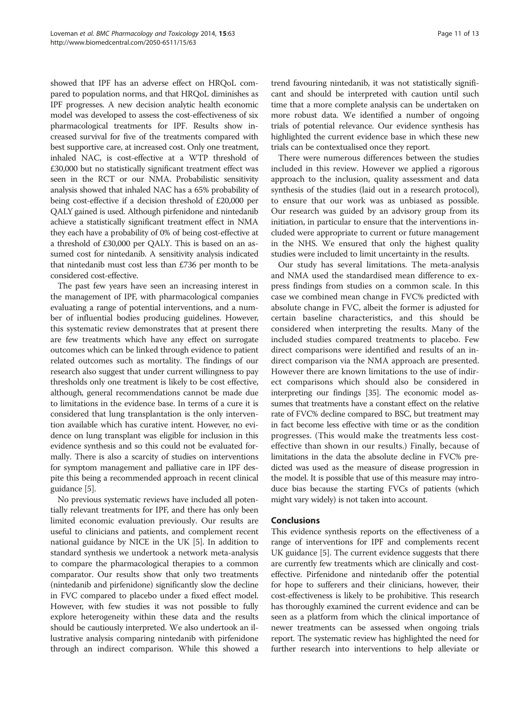showed that IPF has an adverse effect on HRQoL compared to population norms, and that HRQoL diminishes as IPF progresses. A new decision analytic health economic model was developed to assess the cost-effectiveness of six pharmacological treatments for IPF. Results show increased survival for five of the treatments compared with best supportive care, at increased cost. Only one treatment, inhaled NAC, is cost-effective at a WTP threshold of £30,000 but no statistically significant treatment effect was seen in the RCT or our NMA. Probabilistic sensitivity analysis showed that inhaled NAC has a 65% probability of being cost-effective if a decision threshold of £20,000 per QALY gained is used. Although pirfenidone and nintedanib achieve a statistically significant treatment effect in NMA they each have a probability of 0% of being cost-effective at a threshold of £30,000 per QALY. This is based on an assumed cost for nintedanib. A sensitivity analysis indicated that nintedanib must cost less than £736 per month to be considered cost-effective.

The past few years have seen an increasing interest in the management of IPF, with pharmacological companies evaluating a range of potential interventions, and a number of influential bodies producing guidelines. However, this systematic review demonstrates that at present there are few treatments which have any effect on surrogate outcomes which can be linked through evidence to patient related outcomes such as mortality. The findings of our research also suggest that under current willingness to pay thresholds only one treatment is likely to be cost effective, although, general recommendations cannot be made due to limitations in the evidence base. In terms of a cure it is considered that lung transplantation is the only intervention available which has curative intent. However, no evidence on lung transplant was eligible for inclusion in this evidence synthesis and so this could not be evaluated formally. There is also a scarcity of studies on interventions for symptom management and palliative care in IPF despite this being a recommended approach in recent clinical guidance [\[5\]](#page-11-0).

No previous systematic reviews have included all potentially relevant treatments for IPF, and there has only been limited economic evaluation previously. Our results are useful to clinicians and patients, and complement recent national guidance by NICE in the UK [[5\]](#page-11-0). In addition to standard synthesis we undertook a network meta-analysis to compare the pharmacological therapies to a common comparator. Our results show that only two treatments (nintedanib and pirfenidone) significantly slow the decline in FVC compared to placebo under a fixed effect model. However, with few studies it was not possible to fully explore heterogeneity within these data and the results should be cautiously interpreted. We also undertook an illustrative analysis comparing nintedanib with pirfenidone through an indirect comparison. While this showed a trend favouring nintedanib, it was not statistically significant and should be interpreted with caution until such time that a more complete analysis can be undertaken on more robust data. We identified a number of ongoing trials of potential relevance. Our evidence synthesis has highlighted the current evidence base in which these new trials can be contextualised once they report.

There were numerous differences between the studies included in this review. However we applied a rigorous approach to the inclusion, quality assessment and data synthesis of the studies (laid out in a research protocol), to ensure that our work was as unbiased as possible. Our research was guided by an advisory group from its initiation, in particular to ensure that the interventions included were appropriate to current or future management in the NHS. We ensured that only the highest quality studies were included to limit uncertainty in the results.

Our study has several limitations. The meta-analysis and NMA used the standardised mean difference to express findings from studies on a common scale. In this case we combined mean change in FVC% predicted with absolute change in FVC, albeit the former is adjusted for certain baseline characteristics, and this should be considered when interpreting the results. Many of the included studies compared treatments to placebo. Few direct comparisons were identified and results of an indirect comparison via the NMA approach are presented. However there are known limitations to the use of indirect comparisons which should also be considered in interpreting our findings [[35](#page-12-0)]. The economic model assumes that treatments have a constant effect on the relative rate of FVC% decline compared to BSC, but treatment may in fact become less effective with time or as the condition progresses. (This would make the treatments less costeffective than shown in our results.) Finally, because of limitations in the data the absolute decline in FVC% predicted was used as the measure of disease progression in the model. It is possible that use of this measure may introduce bias because the starting FVCs of patients (which might vary widely) is not taken into account.

#### Conclusions

This evidence synthesis reports on the effectiveness of a range of interventions for IPF and complements recent UK guidance [[5](#page-11-0)]. The current evidence suggests that there are currently few treatments which are clinically and costeffective. Pirfenidone and nintedanib offer the potential for hope to sufferers and their clinicians, however, their cost-effectiveness is likely to be prohibitive. This research has thoroughly examined the current evidence and can be seen as a platform from which the clinical importance of newer treatments can be assessed when ongoing trials report. The systematic review has highlighted the need for further research into interventions to help alleviate or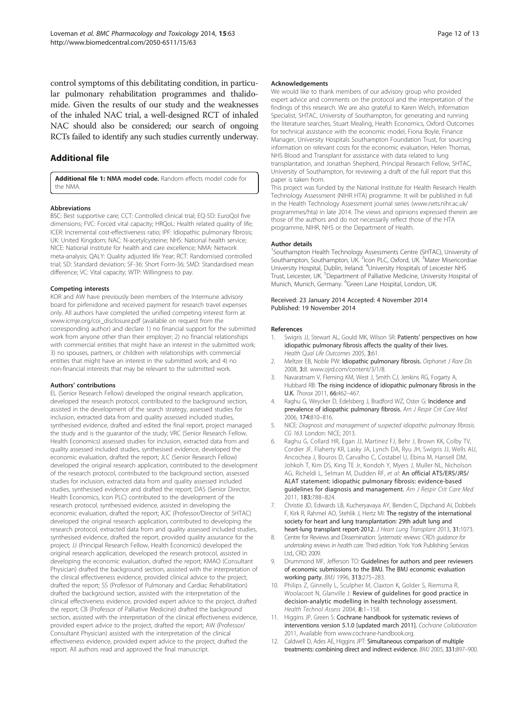<span id="page-11-0"></span>control symptoms of this debilitating condition, in particular pulmonary rehabilitation programmes and thalidomide. Given the results of our study and the weaknesses of the inhaled NAC trial, a well-designed RCT of inhaled NAC should also be considered; our search of ongoing RCTs failed to identify any such studies currently underway.

#### Additional file

[Additional file 1:](http://www.biomedcentral.com/content/supplementary/2050-6511-15-63-S1.docx) NMA model code. Random effects model code for the NMA.

#### Abbreviations

BSC: Best supportive care; CCT: Controlled clinical trial; EQ-5D: EuroQol five dimensions; FVC: Forced vital capacity; HRQoL: Health related quality of life; ICER: Incremental cost-effectiveness ratio; IPF: Idiopathic pulmonary fibrosis; UK: United Kingdom; NAC: N-acetylcysteine; NHS: National health service; NICE: National institute for health and care excellence; NMA: Network meta-analysis; QALY: Quality adjusted life Year; RCT: Randomised controlled trial; SD: Standard deviation; SF-36: Short Form-36; SMD: Standardised mean difference; VC: Vital capacity; WTP: Willingness to pay.

#### Competing interests

KOR and AW have previously been members of the Intermune advisory board for pirfenidone and received payment for research travel expenses only. All authors have completed the unified competing interest form at [www.icmje.org/coi\\_disclosure.pdf](http://www.icmje.org/coi_disclosure.pdf) (available on request from the corresponding author) and declare 1) no financial support for the submitted work from anyone other than their employer; 2) no financial relationships with commercial entities that might have an interest in the submitted work; 3) no spouses, partners, or children with relationships with commercial entities that might have an interest in the submitted work; and 4) no non-financial interests that may be relevant to the submitted work.

#### Authors' contributions

EL (Senior Research Fellow) developed the original research application, developed the research protocol, contributed to the background section, assisted in the development of the search strategy, assessed studies for inclusion, extracted data from and quality assessed included studies, synthesised evidence, drafted and edited the final report, project managed the study and is the guarantor of the study; VRC (Senior Research Fellow, Health Economics) assessed studies for inclusion, extracted data from and quality assessed included studies, synthesised evidence, developed the economic evaluation, drafted the report; JLC (Senior Research Fellow) developed the original research application, contributed to the development of the research protocol, contributed to the background section, assessed studies for inclusion, extracted data from and quality assessed included studies, synthesised evidence and drafted the report; DAS (Senior Director, Health Economics, Icon PLC) contributed to the development of the research protocol, synthesised evidence, assisted in developing the economic evaluation, drafted the report; AJC (Professor/Director of SHTAC) developed the original research application, contributed to developing the research protocol, extracted data from and quality assessed included studies, synthesised evidence, drafted the report, provided quality assurance for the project; JJ (Principal Research Fellow, Health Economics) developed the original research application, developed the research protocol, assisted in developing the economic evaluation, drafted the report; KMAO (Consultant Physician) drafted the background section, assisted with the interpretation of the clinical effectiveness evidence, provided clinical advice to the project, drafted the report; SS (Professor of Pulmonary and Cardiac Rehabilitation) drafted the background section, assisted with the interpretation of the clinical effectiveness evidence, provided expert advice to the project, drafted the report; CB (Professor of Palliative Medicine) drafted the background section, assisted with the interpretation of the clinical effectiveness evidence, provided expert advice to the project, drafted the report; AW (Professor/ Consultant Physician) assisted with the interpretation of the clinical effectiveness evidence, provided expert advice to the project, drafted the report. All authors read and approved the final manuscript.

#### Acknowledgements

We would like to thank members of our advisory group who provided expert advice and comments on the protocol and the interpretation of the findings of this research. We are also grateful to Karen Welch, Information Specialist, SHTAC, University of Southampton, for generating and running the literature searches, Stuart Mealing, Health Economics, Oxford Outcomes for technical assistance with the economic model, Fiona Boyle, Finance Manager, University Hospitals Southampton Foundation Trust, for sourcing information on relevant costs for the economic evaluation, Helen Thomas, NHS Blood and Transplant for assistance with data related to lung transplantation, and Jonathan Shepherd, Principal Research Fellow, SHTAC, University of Southampton, for reviewing a draft of the full report that this paper is taken from.

This project was funded by the National Institute for Health Research Health Technology Assessment (NIHR HTA) programme. It will be published in full in the Health Technology Assessment journal series [\(www.nets.nihr.ac.uk/](www.nets.nihr.ac.uk/programmes/hta) [programmes/hta](www.nets.nihr.ac.uk/programmes/hta)) in late 2014. The views and opinions expressed therein are those of the authors and do not necessarily reflect those of the HTA programme, NIHR, NHS or the Department of Health.

#### Author details

1 Southampton Health Technology Assessments Centre (SHTAC), University of Southampton, Southampton, UK. <sup>2</sup>Icon PLC, Oxford, UK. <sup>3</sup>Mater Misericordiae University Hospital, Dublin, Ireland. <sup>4</sup>University Hospitals of Leicester NHS Trust, Leicester, UK.<sup>5</sup> Department of Palliative Medicine, University Hospital of Munich, Munich, Germany. <sup>6</sup>Green Lane Hospital, London, UK

#### Received: 23 January 2014 Accepted: 4 November 2014 Published: 19 November 2014

#### References

- Swigris JJ, Stewart AL, Gould MK, Wilson SR: Patients' perspectives on how idiopathic pulmonary fibrosis affects the quality of their lives. Health Qual Life Outcomes 2005, 3:61.
- 2. Meltzer EB, Noble PW: Idiopathic pulmonary fibrosis. Orphanet J Rare Dis 2008, 3:8. [www.ojrd.com/content/3/1/8](http://www.ojrd.com/content/3/1/8).
- 3. Navaratnam V, Fleming KM, West J, Smith CJ, Jenkins RG, Fogarty A, Hubbard RB: The rising incidence of idiopathic pulmonary fibrosis in the U.K. Thorax 2011, 66:462–467.
- 4. Raghu G, Weycker D, Edelsberg J, Bradford WZ, Oster G: Incidence and prevalence of idiopathic pulmonary fibrosis. Am J Respir Crit Care Med 2006, 174:810–816.
- 5. NICE: Diagnosis and management of suspected idiopathic pulmonary fibrosis. CG 163. London: NICE; 2013.
- 6. Raghu G, Collard HR, Egan JJ, Martinez FJ, Behr J, Brown KK, Colby TV, Cordier JF, Flaherty KR, Lasky JA, Lynch DA, Ryu JH, Swigris JJ, Wells AU, Ancochea J, Bouros D, Carvalho C, Costabel U, Ebina M, Hansell DM, Johkoh T, Kim DS, King TE Jr, Kondoh Y, Myers J, Muller NL, Nicholson AG, Richeldi L, Selman M, Dudden RF, et al: An official ATS/ERS/JRS/ ALAT statement: idiopathic pulmonary fibrosis: evidence-based guidelines for diagnosis and management. Am J Respir Crit Care Med 2011, 183:788–824.
- 7. Christie JD, Edwards LB, Kucheryavaya AY, Benden C, Dipchand AI, Dobbels F, Kirk R, Rahmel AO, Stehlik J, Hertz MI: The registry of the international society for heart and lung transplantation: 29th adult lung and heart-lung transplant report-2012. J Heart Lung Transplant 2013, 31:1073.
- 8. Centre for Reviews and Dissemination: Systematic reviews: CRD's guidance for undertaking reviews in health care. Third edition. York: York Publishing Services Ltd., CRD; 2009.
- 9. Drummond MF, Jefferson TO: Guidelines for authors and peer reviewers of economic submissions to the BMJ. The BMJ economic evaluation working party. BMJ 1996, 313:275–283.
- 10. Philips Z, Ginnelly L, Sculpher M, Claxton K, Golder S, Riemsma R, Woolacoot N, Glanville J: Review of guidelines for good practice in decision-analytic modelling in health technology assessment. Health Technol Assess 2004, 8:1–158.
- 11. Higgins JP, Green S: Cochrane handbook for systematic reviews of interventions version 5.1.0 [updated march 2011]. Cochrane Collaboration 2011, Available from [www.cochrane-handbook.org.](http://www.cochrane-handbook.org/)
- 12. Caldwell D, Ades AE, Higgins JPT: Simultaneous comparison of multiple treatments: combining direct and indirect evidence. BMJ 2005, 331:897–900.